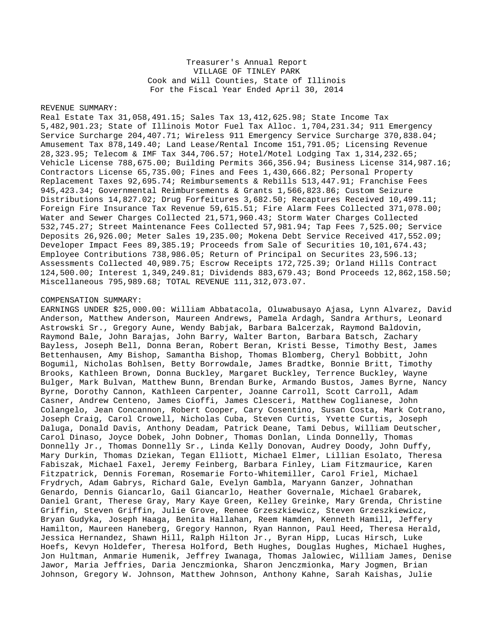## Treasurer's Annual Report VILLAGE OF TINLEY PARK Cook and Will Counties, State of Illinois For the Fiscal Year Ended April 30, 2014

## REVENUE SUMMARY:

Real Estate Tax 31,058,491.15; Sales Tax 13,412,625.98; State Income Tax 5,482,901.23; State of Illinois Motor Fuel Tax Alloc. 1,704,231.34; 911 Emergency Service Surcharge 204,407.71; Wireless 911 Emergency Service Surcharge 370,838.04; Amusement Tax 878,149.40; Land Lease/Rental Income 151,791.05; Licensing Revenue 28,323.95; Telecom & IMF Tax 344,706.57; Hotel/Motel Lodging Tax 1,314,232.65; Vehicle License 788,675.00; Building Permits 366,356.94; Business License 314,987.16; Contractors License 65,735.00; Fines and Fees 1,430,666.82; Personal Property Replacement Taxes 92,695.74; Reimbursements & Rebills 513,447.91; Franchise Fees 945,423.34; Governmental Reimbursements & Grants 1,566,823.86; Custom Seizure Distributions 14,827.02; Drug Forfeitures 3,682.50; Recaptures Received 10,499.11; Foreign Fire Insurance Tax Revenue 59,615.51; Fire Alarm Fees Collected 371,078.00; Water and Sewer Charges Collected 21,571,960.43; Storm Water Charges Collected 532,745.27; Street Maintenance Fees Collected 57,981.94; Tap Fees 7,525.00; Service Deposits 26,926.00; Meter Sales 19,235.00; Mokena Debt Service Received 417,552.09; Developer Impact Fees 89,385.19; Proceeds from Sale of Securities 10,101,674.43; Employee Contributions 738,986.05; Return of Principal on Securites 23,596.13; Assessments Collected 40,989.75; Escrow Receipts 172,725.39; Orland Hills Contract 124,500.00; Interest 1,349,249.81; Dividends 883,679.43; Bond Proceeds 12,862,158.50; Miscellaneous 795,989.68; TOTAL REVENUE 111,312,073.07.

## COMPENSATION SUMMARY:

EARNINGS UNDER \$25,000.00: William Abbatacola, Oluwabusayo Ajasa, Lynn Alvarez, David Anderson, Matthew Anderson, Maureen Andrews, Pamela Ardagh, Sandra Arthurs, Leonard Astrowski Sr., Gregory Aune, Wendy Babjak, Barbara Balcerzak, Raymond Baldovin, Raymond Bale, John Barajas, John Barry, Walter Barton, Barbara Batsch, Zachary Bayless, Joseph Bell, Donna Beran, Robert Beran, Kristi Besse, Timothy Best, James Bettenhausen, Amy Bishop, Samantha Bishop, Thomas Blomberg, Cheryl Bobbitt, John Bogumil, Nicholas Bohlsen, Betty Borrowdale, James Bradtke, Bonnie Britt, Timothy Brooks, Kathleen Brown, Donna Buckley, Margaret Buckley, Terrence Buckley, Wayne Bulger, Mark Bulvan, Matthew Bunn, Brendan Burke, Armando Bustos, James Byrne, Nancy Byrne, Dorothy Cannon, Kathleen Carpenter, Joanne Carroll, Scott Carroll, Adam Casner, Andrew Centeno, James Cioffi, James Clesceri, Matthew Coglianese, John Colangelo, Jean Concannon, Robert Cooper, Cary Cosentino, Susan Costa, Mark Cotrano, Joseph Craig, Carol Crowell, Nicholas Cuba, Steven Curtis, Yvette Curtis, Joseph Daluga, Donald Davis, Anthony Deadam, Patrick Deane, Tami Debus, William Deutscher, Carol Dinaso, Joyce Dobek, John Dobner, Thomas Donlan, Linda Donnelly, Thomas Donnelly Jr., Thomas Donnelly Sr., Linda Kelly Donovan, Audrey Doody, John Duffy, Mary Durkin, Thomas Dziekan, Tegan Elliott, Michael Elmer, Lillian Esolato, Theresa Fabiszak, Michael Faxel, Jeremy Feinberg, Barbara Finley, Liam Fitzmaurice, Karen Fitzpatrick, Dennis Foreman, Rosemarie Forto-Whitemiller, Carol Friel, Michael Frydrych, Adam Gabrys, Richard Gale, Evelyn Gambla, Maryann Ganzer, Johnathan Genardo, Dennis Giancarlo, Gail Giancarlo, Heather Governale, Michael Grabarek, Daniel Grant, Therese Gray, Mary Kaye Green, Kelley Greinke, Mary Grenda, Christine Griffin, Steven Griffin, Julie Grove, Renee Grzeszkiewicz, Steven Grzeszkiewicz, Bryan Gudyka, Joseph Haaga, Benita Hallahan, Reem Hamden, Kenneth Hamill, Jeffery Hamilton, Maureen Haneberg, Gregory Hannon, Ryan Hannon, Paul Heed, Theresa Herald, Jessica Hernandez, Shawn Hill, Ralph Hilton Jr., Byran Hipp, Lucas Hirsch, Luke Hoefs, Kevyn Holdefer, Theresa Holford, Beth Hughes, Douglas Hughes, Michael Hughes, Jon Hultman, Anmarie Humenik, Jeffrey Iwanaga, Thomas Jalowiec, William James, Denise Jawor, Maria Jeffries, Daria Jenczmionka, Sharon Jenczmionka, Mary Jogmen, Brian Johnson, Gregory W. Johnson, Matthew Johnson, Anthony Kahne, Sarah Kaishas, Julie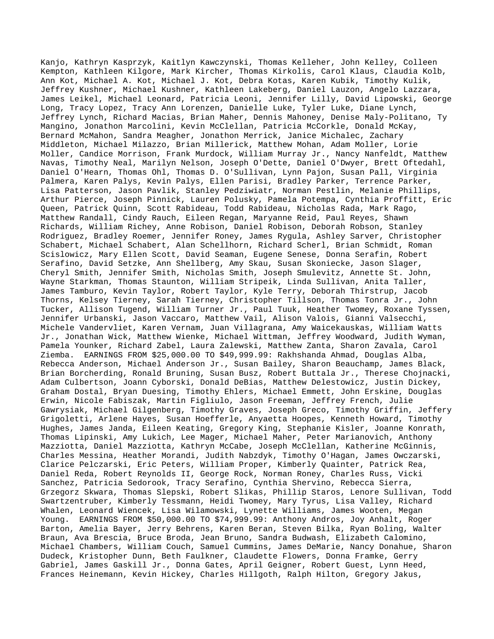Kanjo, Kathryn Kasprzyk, Kaitlyn Kawczynski, Thomas Kelleher, John Kelley, Colleen Kempton, Kathleen Kilgore, Mark Kircher, Thomas Kirkolis, Carol Klaus, Claudia Kolb, Ann Kot, Michael A. Kot, Michael J. Kot, Debra Kotas, Karen Kubik, Timothy Kulik, Jeffrey Kushner, Michael Kushner, Kathleen Lakeberg, Daniel Lauzon, Angelo Lazzara, James Leikel, Michael Leonard, Patricia Leoni, Jennifer Lilly, David Lipowski, George Long, Tracy Lopez, Tracy Ann Lorenzen, Danielle Luke, Tyler Luke, Diane Lynch, Jeffrey Lynch, Richard Macias, Brian Maher, Dennis Mahoney, Denise Maly-Politano, Ty Mangino, Jonathon Marcolini, Kevin McClellan, Patricia McCorkle, Donald McKay, Bernard McMahon, Sandra Meagher, Jonathon Merrick, Janice Michalec, Zachary Middleton, Michael Milazzo, Brian Millerick, Matthew Mohan, Adam Moller, Lorie Moller, Candice Morrison, Frank Murdock, William Murray Jr., Nancy Nanfeldt, Matthew Navas, Timothy Neal, Marilyn Nelson, Joseph O'Dette, Daniel O'Dwyer, Brett Oftedahl, Daniel O'Hearn, Thomas Ohl, Thomas D. O'Sullivan, Lynn Pajon, Susan Pall, Virginia Palmera, Karen Palys, Kevin Palys, Ellen Parisi, Bradley Parker, Terrence Parker, Lisa Patterson, Jason Pavlik, Stanley Pedziwiatr, Norman Pestlin, Melanie Phillips, Arthur Pierce, Joseph Pinnick, Lauren Polusky, Pamela Potempa, Cynthia Proffitt, Eric Queen, Patrick Quinn, Scott Rabideau, Todd Rabideau, Nicholas Rada, Mark Rago, Matthew Randall, Cindy Rauch, Eileen Regan, Maryanne Reid, Paul Reyes, Shawn Richards, William Richey, Anne Robison, Daniel Robison, Deborah Robson, Stanley Rodriguez, Bradley Roemer, Jennifer Roney, James Rygula, Ashley Sarver, Christopher Schabert, Michael Schabert, Alan Schellhorn, Richard Scherl, Brian Schmidt, Roman Scislowicz, Mary Ellen Scott, David Seaman, Eugene Senese, Donna Serafin, Robert Serafino, David Setzke, Ann Shellberg, Amy Skau, Susan Skoniecke, Jason Slager, Cheryl Smith, Jennifer Smith, Nicholas Smith, Joseph Smulevitz, Annette St. John, Wayne Starkman, Thomas Staunton, William Stripeik, Linda Sullivan, Anita Taller, James Tamburo, Kevin Taylor, Robert Taylor, Kyle Terry, Deborah Thirstrup, Jacob Thorns, Kelsey Tierney, Sarah Tierney, Christopher Tillson, Thomas Tonra Jr., John Tucker, Allison Tugend, William Turner Jr., Paul Tuuk, Heather Twomey, Roxane Tyssen, Jennifer Urbanski, Jason Vaccaro, Matthew Vail, Alison Valois, Gianni Valsecchi, Michele Vandervliet, Karen Vernam, Juan Villagrana, Amy Waicekauskas, William Watts Jr., Jonathan Wick, Matthew Wienke, Michael Wittman, Jeffrey Woodward, Judith Wyman, Pamela Younker, Richard Zabel, Laura Zalewski, Matthew Zanta, Sharon Zavala, Carol Ziemba. EARNINGS FROM \$25,000.00 TO \$49,999.99: Rakhshanda Ahmad, Douglas Alba, Rebecca Anderson, Michael Anderson Jr., Susan Bailey, Sharon Beauchamp, James Black, Brian Borcherding, Ronald Bruning, Susan Busz, Robert Buttala Jr., Therese Chojnacki, Adam Culbertson, Joann Cyborski, Donald DeBias, Matthew Delestowicz, Justin Dickey, Graham Dostal, Bryan Duesing, Timothy Ehlers, Michael Emmett, John Erskine, Douglas Erwin, Nicole Fabiszak, Martin Figliulo, Jason Freeman, Jeffrey French, Julie Gawrysiak, Michael Gilgenberg, Timothy Graves, Joseph Greco, Timothy Griffin, Jeffery Grigoletti, Arlene Hayes, Susan Hoefferle, Anyaetta Hoopes, Kenneth Howard, Timothy Hughes, James Janda, Eileen Keating, Gregory King, Stephanie Kisler, Joanne Konrath, Thomas Lipinski, Amy Lukich, Lee Mager, Michael Maher, Peter Marianovich, Anthony Mazziotta, Daniel Mazziotta, Kathryn McCabe, Joseph McClellan, Katherine McGinnis, Charles Messina, Heather Morandi, Judith Nabzdyk, Timothy O'Hagan, James Owczarski, Clarice Pelczarski, Eric Peters, William Proper, Kimberly Quainter, Patrick Rea, Daniel Reda, Robert Reynolds II, George Rock, Norman Roney, Charles Russ, Vicki Sanchez, Patricia Sedorook, Tracy Serafino, Cynthia Shervino, Rebecca Sierra, Grzegorz Skwara, Thomas Slepski, Robert Slikas, Phillip Staros, Lenore Sullivan, Todd Swartzentruber, Kimberly Tessmann, Heidi Twomey, Mary Tyrus, Lisa Valley, Richard Whalen, Leonard Wiencek, Lisa Wilamowski, Lynette Williams, James Wooten, Megan Young. EARNINGS FROM \$50,000.00 TO \$74,999.99: Anthony Andros, Joy Anhalt, Roger Barton, Amelia Bayer, Jerry Behrens, Karen Beran, Steven Bilka, Ryan Boling, Walter Braun, Ava Brescia, Bruce Broda, Jean Bruno, Sandra Budwash, Elizabeth Calomino, Michael Chambers, William Couch, Samuel Cummins, James DeMarie, Nancy Donahue, Sharon Dudeck, Kristopher Dunn, Beth Faulkner, Claudette Flowers, Donna Framke, Gerry Gabriel, James Gaskill Jr., Donna Gates, April Geigner, Robert Guest, Lynn Heed, Frances Heinemann, Kevin Hickey, Charles Hillgoth, Ralph Hilton, Gregory Jakus,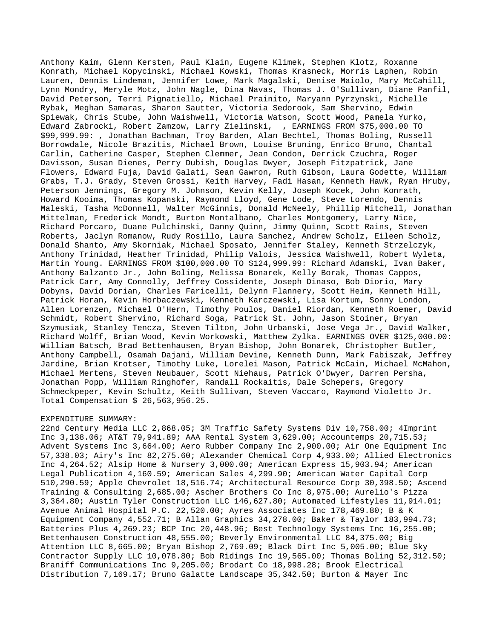Anthony Kaim, Glenn Kersten, Paul Klain, Eugene Klimek, Stephen Klotz, Roxanne Konrath, Michael Kopycinski, Michael Kowski, Thomas Krasneck, Morris Laphen, Robin Lauren, Dennis Lindeman, Jennifer Lowe, Mark Magalski, Denise Maiolo, Mary McCahill, Lynn Mondry, Meryle Motz, John Nagle, Dina Navas, Thomas J. O'Sullivan, Diane Panfil, David Peterson, Terri Pignatiello, Michael Prainito, Maryann Pyrzynski, Michelle Rybak, Meghan Samaras, Sharon Sautter, Victoria Sedorook, Sam Shervino, Edwin Spiewak, Chris Stube, John Waishwell, Victoria Watson, Scott Wood, Pamela Yurko, Edward Zabrocki, Robert Zamzow, Larry Zielinski, , EARNINGS FROM \$75,000.00 TO \$99,999.99: , Jonathan Bachman, Troy Barden, Alan Bechtel, Thomas Boling, Russell Borrowdale, Nicole Brazitis, Michael Brown, Louise Bruning, Enrico Bruno, Chantal Carlin, Catherine Casper, Stephen Clemmer, Jean Condon, Derrick Czuchra, Roger Davisson, Susan Dienes, Perry Dubish, Douglas Dwyer, Joseph Fitzpatrick, Jane Flowers, Edward Fuja, David Galati, Sean Gawron, Ruth Gibson, Laura Godette, William Grabs, T.J. Grady, Steven Grossi, Keith Harvey, Fadi Hasan, Kenneth Hawk, Ryan Hruby, Peterson Jennings, Gregory M. Johnson, Kevin Kelly, Joseph Kocek, John Konrath, Howard Kooima, Thomas Kopanski, Raymond Lloyd, Gene Lode, Steve Lorendo, Dennis Maleski, Tasha McDonnell, Walter McGinnis, Donald McNeely, Phillip Mitchell, Jonathan Mittelman, Frederick Mondt, Burton Montalbano, Charles Montgomery, Larry Nice, Richard Porcaro, Duane Pulchinski, Danny Quinn, Jimmy Quinn, Scott Rains, Steven Roberts, Jaclyn Romanow, Rudy Rosillo, Laura Sanchez, Andrew Scholz, Eileen Scholz, Donald Shanto, Amy Skorniak, Michael Sposato, Jennifer Staley, Kenneth Strzelczyk, Anthony Trinidad, Heather Trinidad, Philip Valois, Jessica Waishwell, Robert Wyleta, Martin Young. EARNINGS FROM \$100,000.00 TO \$124,999.99: Richard Adamski, Ivan Baker, Anthony Balzanto Jr., John Boling, Melissa Bonarek, Kelly Borak, Thomas Cappos, Patrick Carr, Amy Connolly, Jeffrey Cossidente, Joseph Dinaso, Bob Diorio, Mary Dobyns, David Dorian, Charles Faricelli, Delynn Flannery, Scott Heim, Kenneth Hill, Patrick Horan, Kevin Horbaczewski, Kenneth Karczewski, Lisa Kortum, Sonny London, Allen Lorenzen, Michael O'Hern, Timothy Poulos, Daniel Riordan, Kenneth Roemer, David Schmidt, Robert Shervino, Richard Soga, Patrick St. John, Jason Stoiner, Bryan Szymusiak, Stanley Tencza, Steven Tilton, John Urbanski, Jose Vega Jr., David Walker, Richard Wolff, Brian Wood, Kevin Workowski, Matthew Zylka. EARNINGS OVER \$125,000.00: William Batsch, Brad Bettenhausen, Bryan Bishop, John Bonarek, Christopher Butler, Anthony Campbell, Osamah Dajani, William Devine, Kenneth Dunn, Mark Fabiszak, Jeffrey Jardine, Brian Krotser, Timothy Luke, Lorelei Mason, Patrick McCain, Michael McMahon, Michael Mertens, Steven Neubauer, Scott Niehaus, Patrick O'Dwyer, Darren Persha, Jonathan Popp, William Ringhofer, Randall Rockaitis, Dale Schepers, Gregory Schmeckpeper, Kevin Schultz, Keith Sullivan, Steven Vaccaro, Raymond Violetto Jr. Total Compensation \$ 26,563,956.25.

## EXPENDITURE SUMMARY:

22nd Century Media LLC 2,868.05; 3M Traffic Safety Systems Div 10,758.00; 4Imprint Inc 3,138.06; AT&T 79,941.89; AAA Rental System 3,629.00; Accountemps 20,715.53; Advent Systems Inc 3,664.00; Aero Rubber Company Inc 2,900.00; Air One Equipment Inc 57,338.03; Airy's Inc 82,275.60; Alexander Chemical Corp 4,933.00; Allied Electronics Inc 4,264.52; Alsip Home & Nursery 3,000.00; American Express 15,903.94; American Legal Publication 4,160.59; American Sales 4,299.90; American Water Capital Corp 510,290.59; Apple Chevrolet 18,516.74; Architectural Resource Corp 30,398.50; Ascend Training & Consulting 2,685.00; Ascher Brothers Co Inc 8,975.00; Aurelio's Pizza 3,364.80; Austin Tyler Construction LLC 146,627.80; Automated Lifestyles 11,914.01; Avenue Animal Hospital P.C. 22,520.00; Ayres Associates Inc 178,469.80; B & K Equipment Company 4,552.71; B Allan Graphics 34,278.00; Baker & Taylor 183,994.73; Batteries Plus 4,269.23; BCP Inc 20,448.96; Best Technology Systems Inc 16,255.00; Bettenhausen Construction 48,555.00; Beverly Environmental LLC 84,375.00; Big Attention LLC 8,665.00; Bryan Bishop 2,769.09; Black Dirt Inc 5,005.00; Blue Sky Contractor Supply LLC 10,078.80; Bob Ridings Inc 19,565.00; Thomas Boling 52,312.50; Braniff Communications Inc 9,205.00; Brodart Co 18,998.28; Brook Electrical Distribution 7,169.17; Bruno Galatte Landscape 35,342.50; Burton & Mayer Inc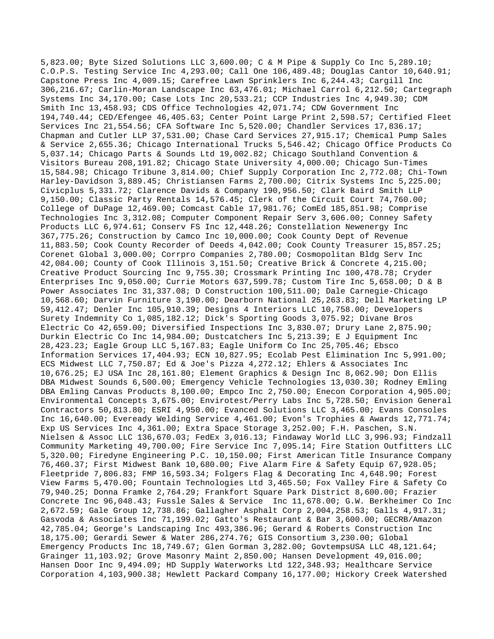5,823.00; Byte Sized Solutions LLC 3,600.00; C & M Pipe & Supply Co Inc 5,289.10; C.O.P.S. Testing Service Inc 4,293.00; Call One 106,489.48; Douglas Cantor 10,640.91; Capstone Press Inc 4,009.15; Carefree Lawn Sprinklers Inc 6,244.43; Cargill Inc 306,216.67; Carlin-Moran Landscape Inc 63,476.01; Michael Carrol 6,212.50; Cartegraph Systems Inc 34,170.00; Case Lots Inc 20,533.21; CCP Industries Inc 4,949.30; CDM Smith Inc 13,458.93; CDS Office Technologies 42,071.74; CDW Government Inc 194,740.44; CED/Efengee 46,405.63; Center Point Large Print 2,598.57; Certified Fleet Services Inc 21,554.56; CFA Software Inc 5,520.00; Chandler Services 17,836.17; Chapman and Cutler LLP 37,531.00; Chase Card Services 27,915.17; Chemical Pump Sales & Service 2,655.36; Chicago International Trucks 5,546.42; Chicago Office Products Co 5,037.14; Chicago Parts & Sounds Ltd 19,002.82; Chicago Southland Convention & Visitors Bureau 208,191.82; Chicago State University 4,000.00; Chicago Sun-Times 15,584.98; Chicago Tribune 3,814.00; Chief Supply Corporation Inc 2,772.08; Chi-Town Harley-Davidson 3,889.45; Christiansen Farms 2,700.00; Citrix Systems Inc 5,225.00; Civicplus 5,331.72; Clarence Davids & Company 190,956.50; Clark Baird Smith LLP 9,150.00; Classic Party Rentals 14,576.45; Clerk of the Circuit Court 74,760.00; College of DuPage 12,469.00; Comcast Cable 17,981.76; ComEd 185,851.98; Comprise Technologies Inc 3,312.08; Computer Component Repair Serv 3,606.00; Conney Safety Products LLC 6,974.61; Conserv FS Inc 12,448.26; Constellation Newenergy Inc 367,775.26; Construction by Camco Inc 10,000.00; Cook County Dept of Revenue 11,883.50; Cook County Recorder of Deeds 4,042.00; Cook County Treasurer 15,857.25; Corenet Global 3,000.00; Corrpro Companies 2,780.00; Cosmopolitan Bldg Serv Inc 42,084.00; County of Cook Illinois 3,151.50; Creative Brick & Concrete 4,215.00; Creative Product Sourcing Inc 9,755.30; Crossmark Printing Inc 100,478.78; Cryder Enterprises Inc 9,050.00; Currie Motors 637,599.78; Custom Tire Inc 5,658.00; D & B Power Associates Inc 31,337.08; D Construction 100,511.00; Dale Carnegie-Chicago 10,568.60; Darvin Furniture 3,190.00; Dearborn National 25,263.83; Dell Marketing LP 59,412.47; Denler Inc 105,910.39; Designs 4 Interiors LLC 10,758.00; Developers Surety Indemnity Co 1,085,182.12; Dick's Sporting Goods 3,075.92; Divane Bros Electric Co 42,659.00; Diversified Inspections Inc 3,830.07; Drury Lane 2,875.90; Durkin Electric Co Inc 14,984.00; Dustcatchers Inc 5,213.39; E J Equipment Inc 28,423.23; Eagle Group LLC 5,167.83; Eagle Uniform Co Inc 25,705.46; Ebsco Information Services 17,404.93; ECN 10,827.95; Ecolab Pest Elimination Inc 5,991.00; ECS Midwest LLC 7,750.87; Ed & Joe's Pizza 4,272.12; Ehlers & Associates Inc 10,676.25; EJ USA Inc 28,161.80; Element Graphics & Design Inc 8,062.90; Don Ellis DBA Midwest Sounds 6,500.00; Emergency Vehicle Technologies 13,030.30; Rodney Emling DBA Emling Canvas Products 8,100.00; Empco Inc 2,750.00; Enecon Corporation 4,905.00; Environmental Concepts 3,675.00; Envirotest/Perry Labs Inc 5,728.50; Envision General Contractors 50,813.80; ESRI 4,950.00; Evanced Solutions LLC 3,465.00; Evans Consoles Inc 16,640.00; Eveready Welding Service 4,461.00; Evon's Trophies & Awards 12,771.74; Exp US Services Inc 4,361.00; Extra Space Storage 3,252.00; F.H. Paschen, S.N. Nielsen & Assoc LLC 136,670.03; FedEx 3,016.13; Findaway World LLC 3,996.93; Findzall Community Marketing 49,700.00; Fire Service Inc 7,095.14; Fire Station Outfitters LLC 5,320.00; Firedyne Engineering P.C. 10,150.00; First American Title Insurance Company 76,460.37; First Midwest Bank 10,680.00; Five Alarm Fire & Safety Equip 67,928.05; Fleetpride 7,806.83; FMP 16,593.34; Folgers Flag & Decorating Inc 4,648.90; Forest View Farms 5,470.00; Fountain Technologies Ltd 3,465.50; Fox Valley Fire & Safety Co 79,940.25; Donna Framke 2,764.29; Frankfort Square Park District 8,600.00; Frazier Concrete Inc 96,048.43; Fussle Sales & Service Inc 11,678.00; G.W. Berkheimer Co Inc 2,672.59; Gale Group 12,738.86; Gallagher Asphalt Corp 2,004,258.53; Galls 4,917.31; Gasvoda & Associates Inc 71,199.02; Gatto's Restaurant & Bar 3,600.00; GECRB/Amazon 42,785.04; George's Landscaping Inc 493,386.96; Gerard & Roberts Construction Inc 18,175.00; Gerardi Sewer & Water 286,274.76; GIS Consortium 3,230.00; Global Emergency Products Inc 18,749.67; Glen Gorman 3,282.00; GovtempsUSA LLC 48,121.64; Grainger 11,103.92; Grove Masonry Maint 2,850.00; Hansen Development 49,016.00; Hansen Door Inc 9,494.09; HD Supply Waterworks Ltd 122,348.93; Healthcare Service Corporation 4,103,900.38; Hewlett Packard Company 16,177.00; Hickory Creek Watershed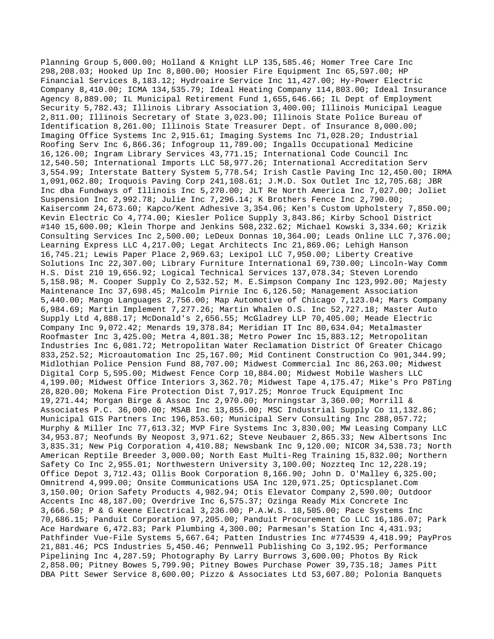Planning Group 5,000.00; Holland & Knight LLP 135,585.46; Homer Tree Care Inc 298,208.03; Hooked Up Inc 8,800.00; Hoosier Fire Equipment Inc 65,597.00; HP Financial Services 8,183.12; Hydroaire Service Inc 11,427.00; Hy-Power Electric Company 8,410.00; ICMA 134,535.79; Ideal Heating Company 114,803.00; Ideal Insurance Agency 8,889.00; IL Municipal Retirement Fund 1,655,646.66; IL Dept of Employment Security 5,782.43; Illinois Library Association 3,400.00; Illinois Municipal League 2,811.00; Illinois Secretary of State 3,023.00; Illinois State Police Bureau of Identification 8,261.00; Illinois State Treasurer Dept. of Insurance 8,000.00; Imaging Office Systems Inc 2,915.61; Imaging Systems Inc 71,028.20; Industrial Roofing Serv Inc 6,866.36; Infogroup 11,789.00; Ingalls Occupational Medicine 16,126.00; Ingram Library Services 43,771.15; International Code Council Inc 12,540.50; International Imports LLC 58,977.26; International Accreditation Serv 3,554.99; Interstate Battery System 5,778.54; Irish Castle Paving Inc 12,450.00; IRMA 1,091,062.80; Iroquois Paving Corp 241,108.61; J.M.D. Sox Outlet Inc 12,705.68; JBR Inc dba Fundways of Illinois Inc 5,270.00; JLT Re North America Inc 7,027.00; Joliet Suspension Inc 2,992.78; Julie Inc 7,296.14; K Brothers Fence Inc 2,790.00; Kaisercomm 24,673.60; Kapco/Kent Adhesive 3,354.06; Ken's Custom Upholstery 7,850.00; Kevin Electric Co 4,774.00; Kiesler Police Supply 3,843.86; Kirby School District #140 15,600.00; Klein Thorpe and Jenkins 508,232.62; Michael Kowski 3,334.60; Krizik Consulting Services Inc 2,500.00; LeDeux Donnas 10,364.00; Leads Online LLC 7,376.00; Learning Express LLC 4,217.00; Legat Architects Inc 21,869.06; Lehigh Hanson 16,745.21; Lewis Paper Place 2,969.63; Lexipol LLC 7,950.00; Liberty Creative Solutions Inc 22,307.00; Library Furniture International 69,730.00; Lincoln-Way Comm H.S. Dist 210 19,656.92; Logical Technical Services 137,078.34; Steven Lorendo 5,158.98; M. Cooper Supply Co 2,532.52; M. E.Simpson Company Inc 123,992.00; Majesty Maintenance Inc 37,698.45; Malcolm Pirnie Inc 6,126.50; Management Association 5,440.00; Mango Languages 2,756.00; Map Automotive of Chicago 7,123.04; Mars Company 6,984.69; Martin Implement 7,277.26; Martin Whalen O.S. Inc 52,727.18; Master Auto Supply Ltd 4,888.17; McDonald's 2,656.55; McGladrey LLP 70,405.00; Meade Electric Company Inc 9,072.42; Menards 19,378.84; Meridian IT Inc 80,634.04; Metalmaster Roofmaster Inc 3,425.00; Metra 4,801.38; Metro Power Inc 15,883.12; Metropolitan Industries Inc 6,081.72; Metropolitan Water Reclamation District Of Greater Chicago 833,252.52; Microautomation Inc 25,167.00; Mid Continent Construction Co 901,344.99; Midlothian Police Pension Fund 88,707.00; Midwest Commercial Inc 86,263.00; Midwest Digital Corp 5,595.00; Midwest Fence Corp 10,884.00; Midwest Mobile Washers LLC 4,199.00; Midwest Office Interiors 3,362.70; Midwest Tape 4,175.47; Mike's Pro P8Ting 28,820.00; Mokena Fire Protection Dist 7,917.25; Monroe Truck Equipment Inc 19,271.44; Morgan Birge & Assoc Inc 2,970.00; Morningstar 3,360.00; Morrill & Associates P.C. 36,000.00; MSAB Inc 13,855.00; MSC Industrial Supply Co 11,132.86; Municipal GIS Partners Inc 196,853.60; Municipal Serv Consulting Inc 288,057.72; Murphy & Miller Inc 77,613.32; MVP Fire Systems Inc 3,830.00; MW Leasing Company LLC 34,953.87; Neofunds By Neopost 3,971.62; Steve Neubauer 2,865.33; New Albertsons Inc 3,835.31; New Pig Corporation 4,410.88; Newsbank Inc 9,120.00; NICOR 34,538.73; North American Reptile Breeder 3,000.00; North East Multi-Reg Training 15,832.00; Northern Safety Co Inc 2,955.01; Northwestern University 3,100.00; Nozzteq Inc 12,228.19; Office Depot 3,712.43; Ollis Book Corporation 8,166.90; John D. O'Malley 6,325.00; Omnitrend 4,999.00; Onsite Communications USA Inc 120,971.25; Opticsplanet.Com 3,150.00; Orion Safety Products 4,982.94; Otis Elevator Company 2,590.00; Outdoor Accents Inc 48,187.00; Overdrive Inc 6,575.37; Ozinga Ready Mix Concrete Inc 3,666.50; P & G Keene Electrical 3,236.00; P.A.W.S. 18,505.00; Pace Systems Inc 70,686.15; Panduit Corporation 97,205.00; Panduit Procurement Co LLC 16,186.07; Park Ace Hardware 6,472.83; Park Plumbing 4,300.00; Parmesan's Station Inc 4,431.93; Pathfinder Vue-File Systems 5,667.64; Patten Industries Inc #774539 4,418.99; PayPros 21,881.46; PCS Industries 5,450.46; Pennwell Publishing Co 3,192.95; Performance Pipelining Inc 4,287.59; Photography By Larry Burrows 3,600.00; Photos By Rick 2,858.00; Pitney Bowes 5,799.90; Pitney Bowes Purchase Power 39,735.18; James Pitt DBA Pitt Sewer Service 8,600.00; Pizzo & Associates Ltd 53,607.80; Polonia Banquets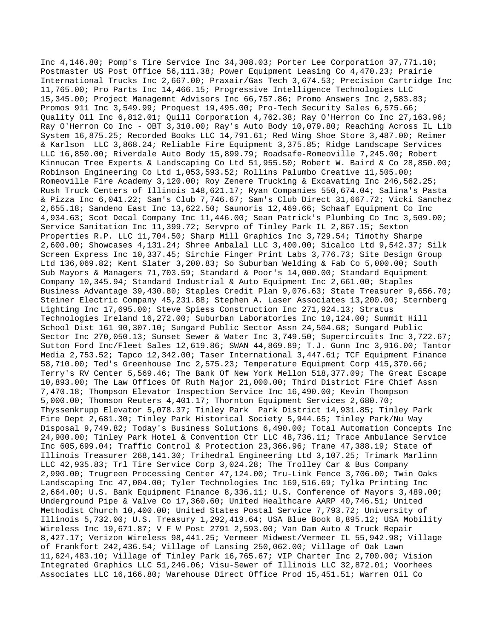Inc 4,146.80; Pomp's Tire Service Inc 34,308.03; Porter Lee Corporation 37,771.10; Postmaster US Post Office 56,111.38; Power Equipment Leasing Co 4,470.23; Prairie International Trucks Inc 2,667.00; Praxair/Gas Tech 3,674.53; Precision Cartridge Inc 11,765.00; Pro Parts Inc 14,466.15; Progressive Intelligence Technologies LLC 15,345.00; Project Managemnt Advisors Inc 66,757.86; Promo Answers Inc 2,583.83; Promos 911 Inc 3,549.99; Proquest 19,495.00; Pro-Tech Security Sales 6,575.66; Quality Oil Inc 6,812.01; Quill Corporation 4,762.38; Ray O'Herron Co Inc 27,163.96; Ray O'Herron Co Inc - OBT 3,310.00; Ray's Auto Body 10,079.80; Reaching Across IL Lib System 16,875.25; Recorded Books LLC 14,791.61; Red Wing Shoe Store 3,487.00; Reimer & Karlson LLC 3,868.24; Reliable Fire Equipment 3,375.85; Ridge Landscape Services LLC 16,850.00; Riverdale Auto Body 15,899.79; Roadsafe-Romeoville 7,245.00; Robert Kinnucan Tree Experts & Landscaping Co Ltd 51,955.50; Robert W. Baird & Co 28,850.00; Robinson Engineering Co Ltd 1,053,593.52; Rollins Palumbo Creative 11,505.00; Romeoville Fire Academy 3,120.00; Roy Zenere Trucking & Excavating Inc 246,562.25; Rush Truck Centers of Illinois 148,621.17; Ryan Companies 550,674.04; Salina's Pasta & Pizza Inc 6,041.22; Sam's Club 7,746.67; Sam's Club Direct 31,667.72; Vicki Sanchez 2,655.18; Sandeno East Inc 13,622.50; Saunoris 12,469.66; Schaaf Equipment Co Inc 4,934.63; Scot Decal Company Inc 11,446.00; Sean Patrick's Plumbing Co Inc 3,509.00; Service Sanitation Inc 11,399.72; Servpro of Tinley Park IL 2,867.15; Sexton Properties R.P. LLC 11,704.50; Sharp Mill Graphics Inc 3,729.54; Timothy Sharpe 2,600.00; Showcases 4,131.24; Shree Ambalal LLC 3,400.00; Sicalco Ltd 9,542.37; Silk Screen Express Inc 10,337.45; Sirchie Finger Print Labs 3,776.73; Site Design Group Ltd 136,069.82; Kent Slater 3,200.83; So Suburban Welding & Fab Co 5,000.00; South Sub Mayors & Managers 71,703.59; Standard & Poor's 14,000.00; Standard Equipment Company 10,345.94; Standard Industrial & Auto Equipment Inc 2,661.00; Staples Business Advantage 39,430.80; Staples Credit Plan 9,076.63; State Treasurer 9,656.70; Steiner Electric Company 45,231.88; Stephen A. Laser Associates 13,200.00; Sternberg Lighting Inc 17,695.00; Steve Spiess Construction Inc 271,924.13; Stratus Technologies Ireland 16,272.00; Suburban Laboratories Inc 10,124.00; Summit Hill School Dist 161 90,307.10; Sungard Public Sector Assn 24,504.68; Sungard Public Sector Inc 270,050.13; Sunset Sewer & Water Inc 3,749.50; Supercircuits Inc 3,722.67; Sutton Ford Inc/Fleet Sales 12,619.86; SWAN 44,869.89; T.J. Gunn Inc 3,916.00; Tantor Media 2,753.52; Tapco 12,342.00; Taser International 3,447.61; TCF Equipment Finance 58,710.00; Ted's Greenhouse Inc 2,575.23; Temperature Equipment Corp 415,370.66; Terry's RV Center 5,569.46; The Bank Of New York Mellon 518,377.09; The Great Escape 10,893.00; The Law Offices Of Ruth Major 21,000.00; Third District Fire Chief Assn 7,470.18; Thompson Elevator Inspection Service Inc 16,490.00; Kevin Thompson 5,000.00; Thomson Reuters 4,401.17; Thornton Equipment Services 2,680.70; Thyssenkrupp Elevator 5,078.37; Tinley Park Park District 14,931.85; Tinley Park Fire Dept 2,681.30; Tinley Park Historical Society 5,944.65; Tinley Park/Nu Way Disposal 9,749.82; Today's Business Solutions 6,490.00; Total Automation Concepts Inc 24,900.00; Tinley Park Hotel & Convention Ctr LLC 48,736.11; Trace Ambulance Service Inc 605,699.04; Traffic Control & Protection 23,366.96; Trane 47,388.19; State of Illinois Treasurer 268,141.30; Trihedral Engineering Ltd 3,107.25; Trimark Marlinn LLC 42,935.83; Trl Tire Service Corp 3,024.28; The Trolley Car & Bus Company 2,990.00; Trugreen Processing Center 47,124.00; Tru-Link Fence 3,706.00; Twin Oaks Landscaping Inc 47,004.00; Tyler Technologies Inc 169,516.69; Tylka Printing Inc 2,664.00; U.S. Bank Equipment Finance 8,336.11; U.S. Conference of Mayors 3,489.00; Underground Pipe & Valve Co 17,360.60; United Healthcare AARP 40,746.51; United Methodist Church 10,400.00; United States Postal Service 7,793.72; University of Illinois 5,732.00; U.S. Treasury 1,292,419.64; USA Blue Book 8,895.12; USA Mobility Wireless Inc 19,671.87; V F W Post 2791 2,593.00; Van Dam Auto & Truck Repair 8,427.17; Verizon Wireless 98,441.25; Vermeer Midwest/Vermeer IL 55,942.98; Village of Frankfort 242,436.54; Village of Lansing 250,062.00; Village of Oak Lawn 11,624,483.10; Village of Tinley Park 16,765.67; VIP Charter Inc 2,700.00; Vision Integrated Graphics LLC 51,246.06; Visu-Sewer of Illinois LLC 32,872.01; Voorhees Associates LLC 16,166.80; Warehouse Direct Office Prod 15,451.51; Warren Oil Co